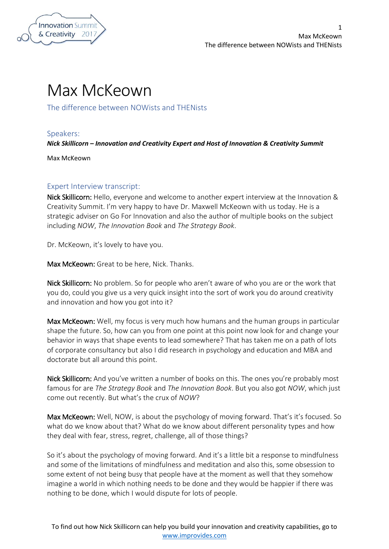

## Max McKeown

The difference between NOWists and THENists

Speakers:

*Nick Skillicorn – Innovation and Creativity Expert and Host of Innovation & Creativity Summit*

Max McKeown

## Expert Interview transcript:

Nick Skillicorn: Hello, everyone and welcome to another expert interview at the Innovation & Creativity Summit. I'm very happy to have Dr. Maxwell McKeown with us today. He is a strategic adviser on Go For Innovation and also the author of multiple books on the subject including *NOW*, *The Innovation Book* and *The Strategy Book*.

Dr. McKeown, it's lovely to have you.

Max McKeown: Great to be here, Nick. Thanks.

Nick Skillicorn: No problem. So for people who aren't aware of who you are or the work that you do, could you give us a very quick insight into the sort of work you do around creativity and innovation and how you got into it?

Max McKeown: Well, my focus is very much how humans and the human groups in particular shape the future. So, how can you from one point at this point now look for and change your behavior in ways that shape events to lead somewhere? That has taken me on a path of lots of corporate consultancy but also I did research in psychology and education and MBA and doctorate but all around this point.

Nick Skillicorn: And you've written a number of books on this. The ones you're probably most famous for are *The Strategy Book* and *The Innovation Book*. But you also got *NOW*, which just come out recently. But what's the crux of *NOW*?

Max McKeown: Well, NOW, is about the psychology of moving forward. That's it's focused. So what do we know about that? What do we know about different personality types and how they deal with fear, stress, regret, challenge, all of those things?

So it's about the psychology of moving forward. And it's a little bit a response to mindfulness and some of the limitations of mindfulness and meditation and also this, some obsession to some extent of not being busy that people have at the moment as well that they somehow imagine a world in which nothing needs to be done and they would be happier if there was nothing to be done, which I would dispute for lots of people.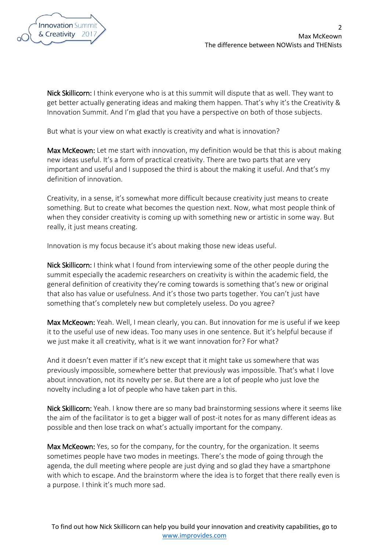

Nick Skillicorn: I think everyone who is at this summit will dispute that as well. They want to get better actually generating ideas and making them happen. That's why it's the Creativity & Innovation Summit. And I'm glad that you have a perspective on both of those subjects.

But what is your view on what exactly is creativity and what is innovation?

Max McKeown: Let me start with innovation, my definition would be that this is about making new ideas useful. It's a form of practical creativity. There are two parts that are very important and useful and I supposed the third is about the making it useful. And that's my definition of innovation.

Creativity, in a sense, it's somewhat more difficult because creativity just means to create something. But to create what becomes the question next. Now, what most people think of when they consider creativity is coming up with something new or artistic in some way. But really, it just means creating.

Innovation is my focus because it's about making those new ideas useful.

Nick Skillicorn: I think what I found from interviewing some of the other people during the summit especially the academic researchers on creativity is within the academic field, the general definition of creativity they're coming towards is something that's new or original that also has value or usefulness. And it's those two parts together. You can't just have something that's completely new but completely useless. Do you agree?

Max McKeown: Yeah. Well, I mean clearly, you can. But innovation for me is useful if we keep it to the useful use of new ideas. Too many uses in one sentence. But it's helpful because if we just make it all creativity, what is it we want innovation for? For what?

And it doesn't even matter if it's new except that it might take us somewhere that was previously impossible, somewhere better that previously was impossible. That's what I love about innovation, not its novelty per se. But there are a lot of people who just love the novelty including a lot of people who have taken part in this.

Nick Skillicorn: Yeah. I know there are so many bad brainstorming sessions where it seems like the aim of the facilitator is to get a bigger wall of post-it notes for as many different ideas as possible and then lose track on what's actually important for the company.

Max McKeown: Yes, so for the company, for the country, for the organization. It seems sometimes people have two modes in meetings. There's the mode of going through the agenda, the dull meeting where people are just dying and so glad they have a smartphone with which to escape. And the brainstorm where the idea is to forget that there really even is a purpose. I think it's much more sad.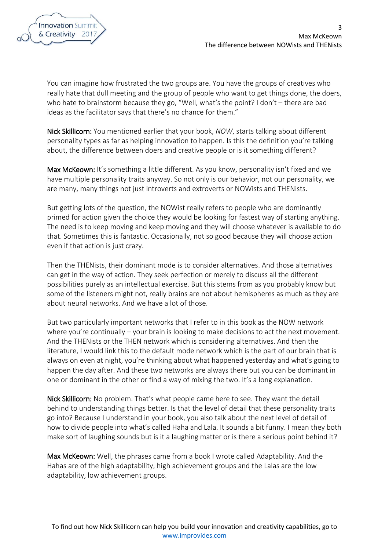

You can imagine how frustrated the two groups are. You have the groups of creatives who really hate that dull meeting and the group of people who want to get things done, the doers, who hate to brainstorm because they go, "Well, what's the point? I don't – there are bad ideas as the facilitator says that there's no chance for them."

Nick Skillicorn: You mentioned earlier that your book, *NOW*, starts talking about different personality types as far as helping innovation to happen. Is this the definition you're talking about, the difference between doers and creative people or is it something different?

Max McKeown: It's something a little different. As you know, personality isn't fixed and we have multiple personality traits anyway. So not only is our behavior, not our personality, we are many, many things not just introverts and extroverts or NOWists and THENists.

But getting lots of the question, the NOWist really refers to people who are dominantly primed for action given the choice they would be looking for fastest way of starting anything. The need is to keep moving and keep moving and they will choose whatever is available to do that. Sometimes this is fantastic. Occasionally, not so good because they will choose action even if that action is just crazy.

Then the THENists, their dominant mode is to consider alternatives. And those alternatives can get in the way of action. They seek perfection or merely to discuss all the different possibilities purely as an intellectual exercise. But this stems from as you probably know but some of the listeners might not, really brains are not about hemispheres as much as they are about neural networks. And we have a lot of those.

But two particularly important networks that I refer to in this book as the NOW network where you're continually – your brain is looking to make decisions to act the next movement. And the THENists or the THEN network which is considering alternatives. And then the literature, I would link this to the default mode network which is the part of our brain that is always on even at night, you're thinking about what happened yesterday and what's going to happen the day after. And these two networks are always there but you can be dominant in one or dominant in the other or find a way of mixing the two. It's a long explanation.

Nick Skillicorn: No problem. That's what people came here to see. They want the detail behind to understanding things better. Is that the level of detail that these personality traits go into? Because I understand in your book, you also talk about the next level of detail of how to divide people into what's called Haha and Lala. It sounds a bit funny. I mean they both make sort of laughing sounds but is it a laughing matter or is there a serious point behind it?

Max McKeown: Well, the phrases came from a book I wrote called Adaptability. And the Hahas are of the high adaptability, high achievement groups and the Lalas are the low adaptability, low achievement groups.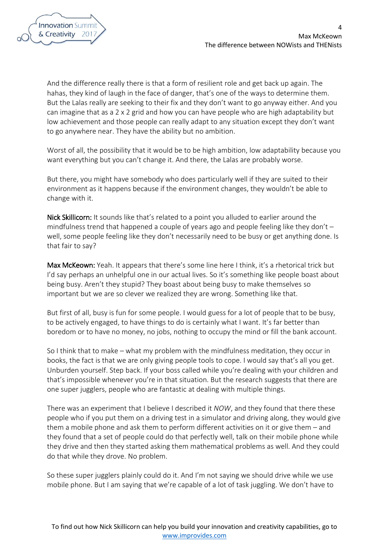

And the difference really there is that a form of resilient role and get back up again. The hahas, they kind of laugh in the face of danger, that's one of the ways to determine them. But the Lalas really are seeking to their fix and they don't want to go anyway either. And you can imagine that as a 2 x 2 grid and how you can have people who are high adaptability but low achievement and those people can really adapt to any situation except they don't want to go anywhere near. They have the ability but no ambition.

Worst of all, the possibility that it would be to be high ambition, low adaptability because you want everything but you can't change it. And there, the Lalas are probably worse.

But there, you might have somebody who does particularly well if they are suited to their environment as it happens because if the environment changes, they wouldn't be able to change with it.

Nick Skillicorn: It sounds like that's related to a point you alluded to earlier around the mindfulness trend that happened a couple of years ago and people feeling like they don't – well, some people feeling like they don't necessarily need to be busy or get anything done. Is that fair to say?

Max McKeown: Yeah. It appears that there's some line here I think, it's a rhetorical trick but I'd say perhaps an unhelpful one in our actual lives. So it's something like people boast about being busy. Aren't they stupid? They boast about being busy to make themselves so important but we are so clever we realized they are wrong. Something like that.

But first of all, busy is fun for some people. I would guess for a lot of people that to be busy, to be actively engaged, to have things to do is certainly what I want. It's far better than boredom or to have no money, no jobs, nothing to occupy the mind or fill the bank account.

So I think that to make – what my problem with the mindfulness meditation, they occur in books, the fact is that we are only giving people tools to cope. I would say that's all you get. Unburden yourself. Step back. If your boss called while you're dealing with your children and that's impossible whenever you're in that situation. But the research suggests that there are one super jugglers, people who are fantastic at dealing with multiple things.

There was an experiment that I believe I described it *NOW*, and they found that there these people who if you put them on a driving test in a simulator and driving along, they would give them a mobile phone and ask them to perform different activities on it or give them – and they found that a set of people could do that perfectly well, talk on their mobile phone while they drive and then they started asking them mathematical problems as well. And they could do that while they drove. No problem.

So these super jugglers plainly could do it. And I'm not saying we should drive while we use mobile phone. But I am saying that we're capable of a lot of task juggling. We don't have to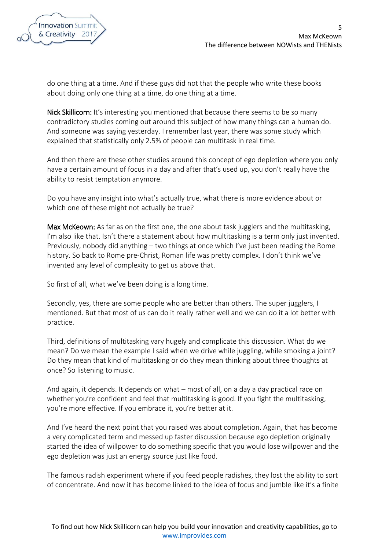

do one thing at a time. And if these guys did not that the people who write these books about doing only one thing at a time, do one thing at a time.

Nick Skillicorn: It's interesting you mentioned that because there seems to be so many contradictory studies coming out around this subject of how many things can a human do. And someone was saying yesterday. I remember last year, there was some study which explained that statistically only 2.5% of people can multitask in real time.

And then there are these other studies around this concept of ego depletion where you only have a certain amount of focus in a day and after that's used up, you don't really have the ability to resist temptation anymore.

Do you have any insight into what's actually true, what there is more evidence about or which one of these might not actually be true?

Max McKeown: As far as on the first one, the one about task jugglers and the multitasking, I'm also like that. Isn't there a statement about how multitasking is a term only just invented. Previously, nobody did anything – two things at once which I've just been reading the Rome history. So back to Rome pre-Christ, Roman life was pretty complex. I don't think we've invented any level of complexity to get us above that.

So first of all, what we've been doing is a long time.

Secondly, yes, there are some people who are better than others. The super jugglers, I mentioned. But that most of us can do it really rather well and we can do it a lot better with practice.

Third, definitions of multitasking vary hugely and complicate this discussion. What do we mean? Do we mean the example I said when we drive while juggling, while smoking a joint? Do they mean that kind of multitasking or do they mean thinking about three thoughts at once? So listening to music.

And again, it depends. It depends on what – most of all, on a day a day practical race on whether you're confident and feel that multitasking is good. If you fight the multitasking, you're more effective. If you embrace it, you're better at it.

And I've heard the next point that you raised was about completion. Again, that has become a very complicated term and messed up faster discussion because ego depletion originally started the idea of willpower to do something specific that you would lose willpower and the ego depletion was just an energy source just like food.

The famous radish experiment where if you feed people radishes, they lost the ability to sort of concentrate. And now it has become linked to the idea of focus and jumble like it's a finite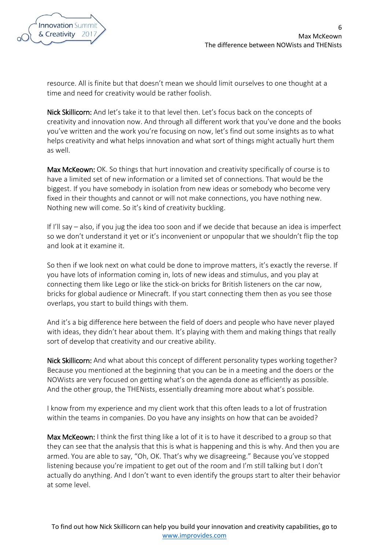

resource. All is finite but that doesn't mean we should limit ourselves to one thought at a time and need for creativity would be rather foolish.

Nick Skillicorn: And let's take it to that level then. Let's focus back on the concepts of creativity and innovation now. And through all different work that you've done and the books you've written and the work you're focusing on now, let's find out some insights as to what helps creativity and what helps innovation and what sort of things might actually hurt them as well.

Max McKeown: OK. So things that hurt innovation and creativity specifically of course is to have a limited set of new information or a limited set of connections. That would be the biggest. If you have somebody in isolation from new ideas or somebody who become very fixed in their thoughts and cannot or will not make connections, you have nothing new. Nothing new will come. So it's kind of creativity buckling.

If I'll say – also, if you jug the idea too soon and if we decide that because an idea is imperfect so we don't understand it yet or it's inconvenient or unpopular that we shouldn't flip the top and look at it examine it.

So then if we look next on what could be done to improve matters, it's exactly the reverse. If you have lots of information coming in, lots of new ideas and stimulus, and you play at connecting them like Lego or like the stick-on bricks for British listeners on the car now, bricks for global audience or Minecraft. If you start connecting them then as you see those overlaps, you start to build things with them.

And it's a big difference here between the field of doers and people who have never played with ideas, they didn't hear about them. It's playing with them and making things that really sort of develop that creativity and our creative ability.

Nick Skillicorn: And what about this concept of different personality types working together? Because you mentioned at the beginning that you can be in a meeting and the doers or the NOWists are very focused on getting what's on the agenda done as efficiently as possible. And the other group, the THENists, essentially dreaming more about what's possible.

I know from my experience and my client work that this often leads to a lot of frustration within the teams in companies. Do you have any insights on how that can be avoided?

Max McKeown: I think the first thing like a lot of it is to have it described to a group so that they can see that the analysis that this is what is happening and this is why. And then you are armed. You are able to say, "Oh, OK. That's why we disagreeing." Because you've stopped listening because you're impatient to get out of the room and I'm still talking but I don't actually do anything. And I don't want to even identify the groups start to alter their behavior at some level.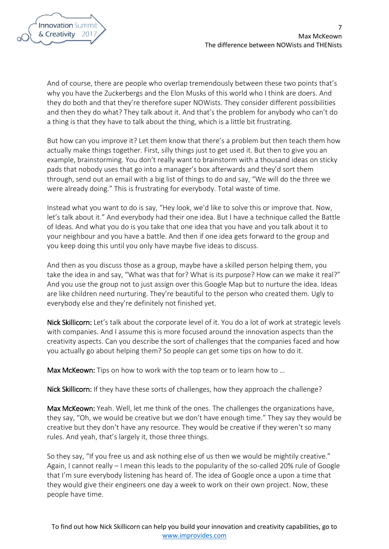

And of course, there are people who overlap tremendously between these two points that's why you have the Zuckerbergs and the Elon Musks of this world who I think are doers. And they do both and that they're therefore super NOWists. They consider different possibilities and then they do what? They talk about it. And that's the problem for anybody who can't do a thing is that they have to talk about the thing, which is a little bit frustrating.

But how can you improve it? Let them know that there's a problem but then teach them how actually make things together. First, silly things just to get used it. But then to give you an example, brainstorming. You don't really want to brainstorm with a thousand ideas on sticky pads that nobody uses that go into a manager's box afterwards and they'd sort them through, send out an email with a big list of things to do and say, "We will do the three we were already doing." This is frustrating for everybody. Total waste of time.

Instead what you want to do is say, "Hey look, we'd like to solve this or improve that. Now, let's talk about it." And everybody had their one idea. But I have a technique called the Battle of Ideas. And what you do is you take that one idea that you have and you talk about it to your neighbour and you have a battle. And then if one idea gets forward to the group and you keep doing this until you only have maybe five ideas to discuss.

And then as you discuss those as a group, maybe have a skilled person helping them, you take the idea in and say, "What was that for? What is its purpose? How can we make it real?" And you use the group not to just assign over this Google Map but to nurture the idea. Ideas are like children need nurturing. They're beautiful to the person who created them. Ugly to everybody else and they're definitely not finished yet.

Nick Skillicorn: Let's talk about the corporate level of it. You do a lot of work at strategic levels with companies. And I assume this is more focused around the innovation aspects than the creativity aspects. Can you describe the sort of challenges that the companies faced and how you actually go about helping them? So people can get some tips on how to do it.

Max McKeown: Tips on how to work with the top team or to learn how to ...

Nick Skillicorn: If they have these sorts of challenges, how they approach the challenge?

Max McKeown: Yeah. Well, let me think of the ones. The challenges the organizations have, they say, "Oh, we would be creative but we don't have enough time." They say they would be creative but they don't have any resource. They would be creative if they weren't so many rules. And yeah, that's largely it, those three things.

So they say, "If you free us and ask nothing else of us then we would be mightily creative." Again, I cannot really – I mean this leads to the popularity of the so-called 20% rule of Google that I'm sure everybody listening has heard of. The idea of Google once a upon a time that they would give their engineers one day a week to work on their own project. Now, these people have time.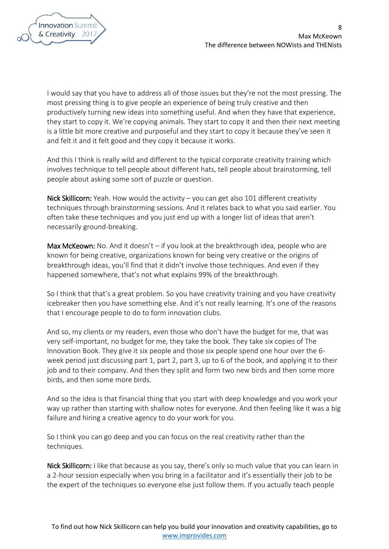I would say that you have to address all of those issues but they're not the most pressing. The most pressing thing is to give people an experience of being truly creative and then productively turning new ideas into something useful. And when they have that experience, they start to copy it. We're copying animals. They start to copy it and then their next meeting is a little bit more creative and purposeful and they start to copy it because they've seen it and felt it and it felt good and they copy it because it works.

And this I think is really wild and different to the typical corporate creativity training which involves technique to tell people about different hats, tell people about brainstorming, tell people about asking some sort of puzzle or question.

Nick Skillicorn: Yeah. How would the activity – you can get also 101 different creativity techniques through brainstorming sessions. And it relates back to what you said earlier. You often take these techniques and you just end up with a longer list of ideas that aren't necessarily ground-breaking.

Max McKeown: No. And it doesn't  $-$  if you look at the breakthrough idea, people who are known for being creative, organizations known for being very creative or the origins of breakthrough ideas, you'll find that it didn't involve those techniques. And even if they happened somewhere, that's not what explains 99% of the breakthrough.

So I think that that's a great problem. So you have creativity training and you have creativity icebreaker then you have something else. And it's not really learning. It's one of the reasons that I encourage people to do to form innovation clubs.

And so, my clients or my readers, even those who don't have the budget for me, that was very self-important, no budget for me, they take the book. They take six copies of The Innovation Book. They give it six people and those six people spend one hour over the 6 week period just discussing part 1, part 2, part 3, up to 6 of the book, and applying it to their job and to their company. And then they split and form two new birds and then some more birds, and then some more birds.

And so the idea is that financial thing that you start with deep knowledge and you work your way up rather than starting with shallow notes for everyone. And then feeling like it was a big failure and hiring a creative agency to do your work for you.

So I think you can go deep and you can focus on the real creativity rather than the techniques.

Nick Skillicorn: I like that because as you say, there's only so much value that you can learn in a 2-hour session especially when you bring in a facilitator and it's essentially their job to be the expert of the techniques so everyone else just follow them. If you actually teach people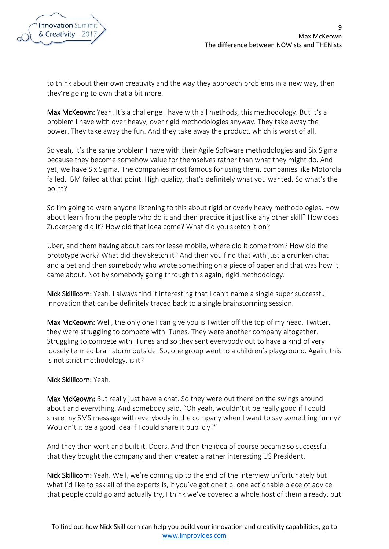

to think about their own creativity and the way they approach problems in a new way, then they're going to own that a bit more.

Max McKeown: Yeah. It's a challenge I have with all methods, this methodology. But it's a problem I have with over heavy, over rigid methodologies anyway. They take away the power. They take away the fun. And they take away the product, which is worst of all.

So yeah, it's the same problem I have with their Agile Software methodologies and Six Sigma because they become somehow value for themselves rather than what they might do. And yet, we have Six Sigma. The companies most famous for using them, companies like Motorola failed. IBM failed at that point. High quality, that's definitely what you wanted. So what's the point?

So I'm going to warn anyone listening to this about rigid or overly heavy methodologies. How about learn from the people who do it and then practice it just like any other skill? How does Zuckerberg did it? How did that idea come? What did you sketch it on?

Uber, and them having about cars for lease mobile, where did it come from? How did the prototype work? What did they sketch it? And then you find that with just a drunken chat and a bet and then somebody who wrote something on a piece of paper and that was how it came about. Not by somebody going through this again, rigid methodology.

Nick Skillicorn: Yeah. I always find it interesting that I can't name a single super successful innovation that can be definitely traced back to a single brainstorming session.

Max McKeown: Well, the only one I can give you is Twitter off the top of my head. Twitter, they were struggling to compete with iTunes. They were another company altogether. Struggling to compete with iTunes and so they sent everybody out to have a kind of very loosely termed brainstorm outside. So, one group went to a children's playground. Again, this is not strict methodology, is it?

## Nick Skillicorn: Yeah.

Max McKeown: But really just have a chat. So they were out there on the swings around about and everything. And somebody said, "Oh yeah, wouldn't it be really good if I could share my SMS message with everybody in the company when I want to say something funny? Wouldn't it be a good idea if I could share it publicly?"

And they then went and built it. Doers. And then the idea of course became so successful that they bought the company and then created a rather interesting US President.

Nick Skillicorn: Yeah. Well, we're coming up to the end of the interview unfortunately but what I'd like to ask all of the experts is, if you've got one tip, one actionable piece of advice that people could go and actually try, I think we've covered a whole host of them already, but